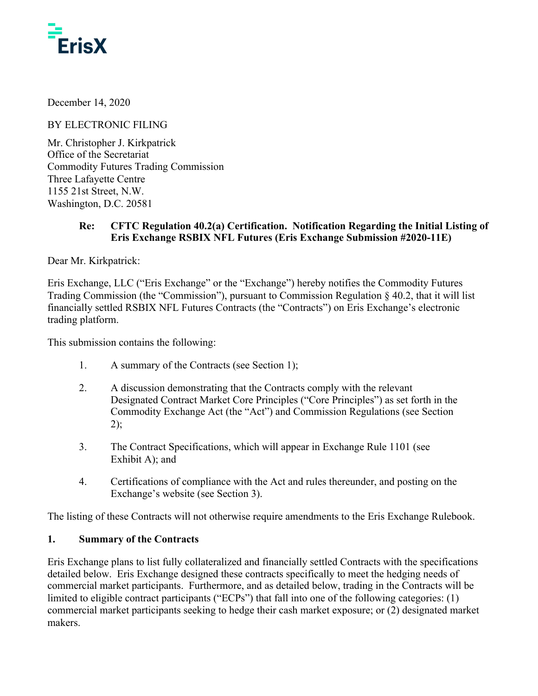

December 14, 2020

BY ELECTRONIC FILING

Mr. Christopher J. Kirkpatrick Office of the Secretariat Commodity Futures Trading Commission Three Lafayette Centre 1155 21st Street, N.W. Washington, D.C. 20581

#### **Re: CFTC Regulation 40.2(a) Certification. Notification Regarding the Initial Listing of Eris Exchange RSBIX NFL Futures (Eris Exchange Submission #2020-11E)**

Dear Mr. Kirkpatrick:

Eris Exchange, LLC ("Eris Exchange" or the "Exchange") hereby notifies the Commodity Futures Trading Commission (the "Commission"), pursuant to Commission Regulation § 40.2, that it will list financially settled RSBIX NFL Futures Contracts (the "Contracts") on Eris Exchange's electronic trading platform.

This submission contains the following:

- 1. A summary of the Contracts (see Section 1);
- 2. A discussion demonstrating that the Contracts comply with the relevant Designated Contract Market Core Principles ("Core Principles") as set forth in the Commodity Exchange Act (the "Act") and Commission Regulations (see Section  $2)$ ;
- 3. The Contract Specifications, which will appear in Exchange Rule 1101 (see Exhibit A); and
- 4. Certifications of compliance with the Act and rules thereunder, and posting on the Exchange's website (see Section 3).

The listing of these Contracts will not otherwise require amendments to the Eris Exchange Rulebook.

#### **1. Summary of the Contracts**

Eris Exchange plans to list fully collateralized and financially settled Contracts with the specifications detailed below. Eris Exchange designed these contracts specifically to meet the hedging needs of commercial market participants. Furthermore, and as detailed below, trading in the Contracts will be limited to eligible contract participants ("ECPs") that fall into one of the following categories: (1) commercial market participants seeking to hedge their cash market exposure; or (2) designated market makers.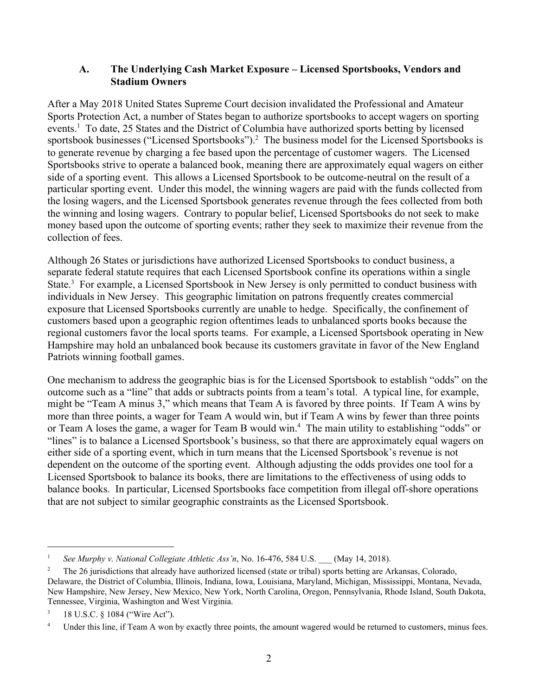#### **A. The Underlying Cash Market Exposure – Licensed Sportsbooks, Vendors and Stadium Owners**

After a May 2018 United States Supreme Court decision invalidated the Professional and Amateur Sports Protection Act, a number of States began to authorize sportsbooks to accept wagers on sporting events.<sup>1</sup> To date, 25 States and the District of Columbia have authorized sports betting by licensed sportsbook businesses ("Licensed Sportsbooks").<sup>2</sup> The business model for the Licensed Sportsbooks is to generate revenue by charging a fee based upon the percentage of customer wagers. The Licensed Sportsbooks strive to operate a balanced book, meaning there are approximately equal wagers on either side of a sporting event. This allows a Licensed Sportsbook to be outcome-neutral on the result of a particular sporting event. Under this model, the winning wagers are paid with the funds collected from the losing wagers, and the Licensed Sportsbook generates revenue through the fees collected from both the winning and losing wagers. Contrary to popular belief, Licensed Sportsbooks do not seek to make money based upon the outcome of sporting events; rather they seek to maximize their revenue from the collection of fees.

Although 26 States or jurisdictions have authorized Licensed Sportsbooks to conduct business, a separate federal statute requires that each Licensed Sportsbook confine its operations within a single State.<sup>3</sup> For example, a Licensed Sportsbook in New Jersey is only permitted to conduct business with individuals in New Jersey. This geographic limitation on patrons frequently creates commercial exposure that Licensed Sportsbooks currently are unable to hedge. Specifically, the confinement of customers based upon a geographic region oftentimes leads to unbalanced sports books because the regional customers favor the local sports teams. For example, a Licensed Sportsbook operating in New Hampshire may hold an unbalanced book because its customers gravitate in favor of the New England Patriots winning football games.

One mechanism to address the geographic bias is for the Licensed Sportsbook to establish "odds" on the outcome such as a "line" that adds or subtracts points from a team's total. A typical line, for example, might be "Team A minus 3," which means that Team A is favored by three points. If Team A wins by more than three points, a wager for Team A would win, but if Team A wins by fewer than three points or Team A loses the game, a wager for Team B would win.<sup>4</sup> The main utility to establishing "odds" or "lines" is to balance a Licensed Sportsbook's business, so that there are approximately equal wagers on either side of a sporting event, which in turn means that the Licensed Sportsbook's revenue is not dependent on the outcome of the sporting event. Although adjusting the odds provides one tool for a Licensed Sportsbook to balance its books, there are limitations to the effectiveness of using odds to balance books. In particular, Licensed Sportsbooks face competition from illegal off-shore operations that are not subject to similar geographic constraints as the Licensed Sportsbook.

<sup>1</sup> *See Murphy v. National Collegiate Athletic Ass'n*, No. 16-476, 584 U.S. \_\_\_ (May 14, 2018).

<sup>&</sup>lt;sup>2</sup> The 26 jurisdictions that already have authorized licensed (state or tribal) sports betting are Arkansas, Colorado, Delaware, the District of Columbia, Illinois, Indiana, Iowa, Louisiana, Maryland, Michigan, Mississippi, Montana, Nevada, New Hampshire, New Jersey, New Mexico, New York, North Carolina, Oregon, Pennsylvania, Rhode Island, South Dakota, Tennessee, Virginia, Washington and West Virginia.

<sup>&</sup>lt;sup>3</sup> 18 U.S.C. § 1084 ("Wire Act").

<sup>&</sup>lt;sup>4</sup> Under this line, if Team A won by exactly three points, the amount wagered would be returned to customers, minus fees.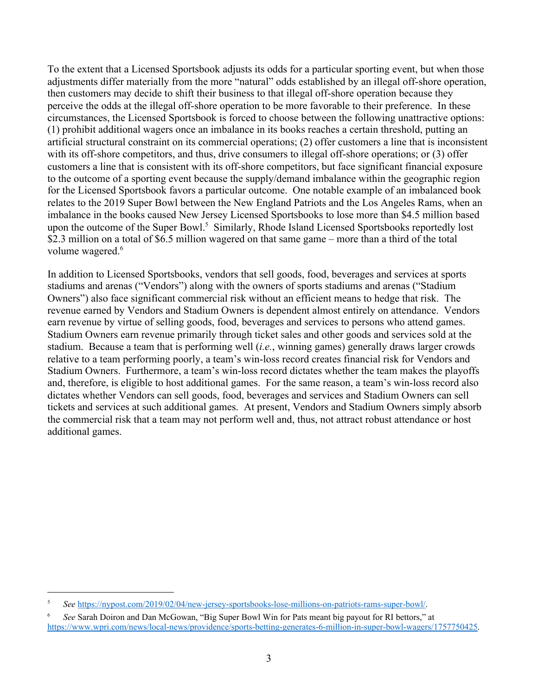To the extent that a Licensed Sportsbook adjusts its odds for a particular sporting event, but when those adjustments differ materially from the more "natural" odds established by an illegal off-shore operation, then customers may decide to shift their business to that illegal off-shore operation because they perceive the odds at the illegal off-shore operation to be more favorable to their preference. In these circumstances, the Licensed Sportsbook is forced to choose between the following unattractive options: (1) prohibit additional wagers once an imbalance in its books reaches a certain threshold, putting an artificial structural constraint on its commercial operations; (2) offer customers a line that is inconsistent with its off-shore competitors, and thus, drive consumers to illegal off-shore operations; or (3) offer customers a line that is consistent with its off-shore competitors, but face significant financial exposure to the outcome of a sporting event because the supply/demand imbalance within the geographic region for the Licensed Sportsbook favors a particular outcome. One notable example of an imbalanced book relates to the 2019 Super Bowl between the New England Patriots and the Los Angeles Rams, when an imbalance in the books caused New Jersey Licensed Sportsbooks to lose more than \$4.5 million based upon the outcome of the Super Bowl.<sup>5</sup> Similarly, Rhode Island Licensed Sportsbooks reportedly lost \$2.3 million on a total of \$6.5 million wagered on that same game – more than a third of the total volume wagered.<sup>6</sup>

In addition to Licensed Sportsbooks, vendors that sell goods, food, beverages and services at sports stadiums and arenas ("Vendors") along with the owners of sports stadiums and arenas ("Stadium Owners") also face significant commercial risk without an efficient means to hedge that risk. The revenue earned by Vendors and Stadium Owners is dependent almost entirely on attendance. Vendors earn revenue by virtue of selling goods, food, beverages and services to persons who attend games. Stadium Owners earn revenue primarily through ticket sales and other goods and services sold at the stadium. Because a team that is performing well (*i.e.*, winning games) generally draws larger crowds relative to a team performing poorly, a team's win-loss record creates financial risk for Vendors and Stadium Owners. Furthermore, a team's win-loss record dictates whether the team makes the playoffs and, therefore, is eligible to host additional games. For the same reason, a team's win-loss record also dictates whether Vendors can sell goods, food, beverages and services and Stadium Owners can sell tickets and services at such additional games. At present, Vendors and Stadium Owners simply absorb the commercial risk that a team may not perform well and, thus, not attract robust attendance or host additional games.

<sup>5</sup> *See* <https://nypost.com/2019/02/04/new-jersey-sportsbooks-lose-millions-on-patriots-rams-super-bowl/>.

<sup>6</sup> *See* Sarah Doiron and Dan McGowan, "Big Super Bowl Win for Pats meant big payout for RI bettors," at [https://www.wpri.com/news/local-news/providence/sports-betting-generates-6-million-in-super-bowl-wagers/1757750425.](https://www.wpri.com/news/local-news/providence/sports-betting-generates-6-million-in-super-bowl-wagers/1757750425)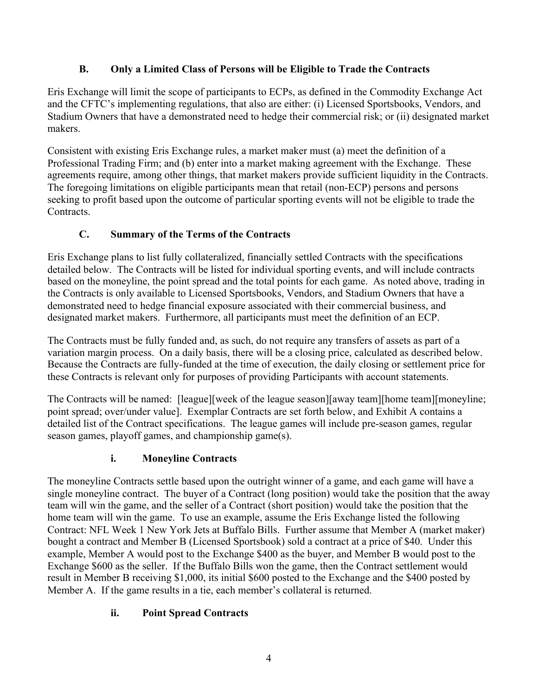### **B. Only a Limited Class of Persons will be Eligible to Trade the Contracts**

Eris Exchange will limit the scope of participants to ECPs, as defined in the Commodity Exchange Act and the CFTC's implementing regulations, that also are either: (i) Licensed Sportsbooks, Vendors, and Stadium Owners that have a demonstrated need to hedge their commercial risk; or (ii) designated market makers.

Consistent with existing Eris Exchange rules, a market maker must (a) meet the definition of a Professional Trading Firm; and (b) enter into a market making agreement with the Exchange. These agreements require, among other things, that market makers provide sufficient liquidity in the Contracts. The foregoing limitations on eligible participants mean that retail (non-ECP) persons and persons seeking to profit based upon the outcome of particular sporting events will not be eligible to trade the Contracts.

# **C. Summary of the Terms of the Contracts**

Eris Exchange plans to list fully collateralized, financially settled Contracts with the specifications detailed below. The Contracts will be listed for individual sporting events, and will include contracts based on the moneyline, the point spread and the total points for each game. As noted above, trading in the Contracts is only available to Licensed Sportsbooks, Vendors, and Stadium Owners that have a demonstrated need to hedge financial exposure associated with their commercial business, and designated market makers. Furthermore, all participants must meet the definition of an ECP.

The Contracts must be fully funded and, as such, do not require any transfers of assets as part of a variation margin process. On a daily basis, there will be a closing price, calculated as described below. Because the Contracts are fully-funded at the time of execution, the daily closing or settlement price for these Contracts is relevant only for purposes of providing Participants with account statements.

The Contracts will be named: [league][week of the league season][away team][home team][moneyline; point spread; over/under value]. Exemplar Contracts are set forth below, and Exhibit A contains a detailed list of the Contract specifications. The league games will include pre-season games, regular season games, playoff games, and championship game(s).

#### **i. Moneyline Contracts**

The moneyline Contracts settle based upon the outright winner of a game, and each game will have a single moneyline contract. The buyer of a Contract (long position) would take the position that the away team will win the game, and the seller of a Contract (short position) would take the position that the home team will win the game. To use an example, assume the Eris Exchange listed the following Contract: NFL Week 1 New York Jets at Buffalo Bills. Further assume that Member A (market maker) bought a contract and Member B (Licensed Sportsbook) sold a contract at a price of \$40. Under this example, Member A would post to the Exchange \$400 as the buyer, and Member B would post to the Exchange \$600 as the seller. If the Buffalo Bills won the game, then the Contract settlement would result in Member B receiving \$1,000, its initial \$600 posted to the Exchange and the \$400 posted by Member A. If the game results in a tie, each member's collateral is returned.

#### **ii. Point Spread Contracts**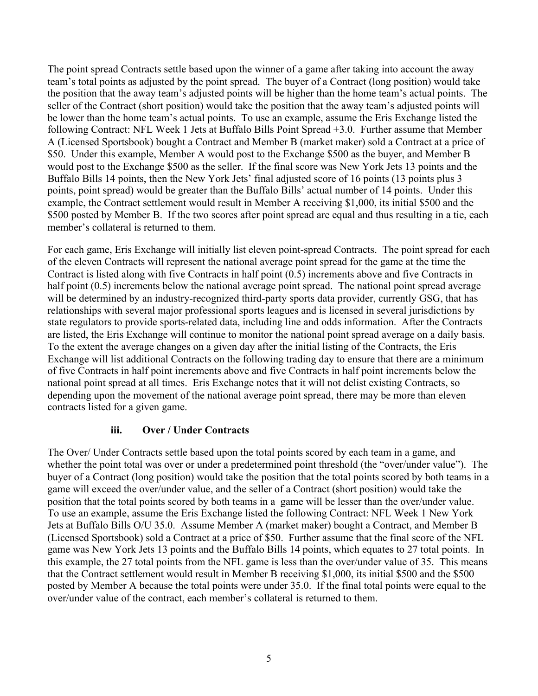The point spread Contracts settle based upon the winner of a game after taking into account the away team's total points as adjusted by the point spread. The buyer of a Contract (long position) would take the position that the away team's adjusted points will be higher than the home team's actual points. The seller of the Contract (short position) would take the position that the away team's adjusted points will be lower than the home team's actual points. To use an example, assume the Eris Exchange listed the following Contract: NFL Week 1 Jets at Buffalo Bills Point Spread +3.0. Further assume that Member A (Licensed Sportsbook) bought a Contract and Member B (market maker) sold a Contract at a price of \$50. Under this example, Member A would post to the Exchange \$500 as the buyer, and Member B would post to the Exchange \$500 as the seller. If the final score was New York Jets 13 points and the Buffalo Bills 14 points, then the New York Jets' final adjusted score of 16 points (13 points plus 3 points, point spread) would be greater than the Buffalo Bills' actual number of 14 points. Under this example, the Contract settlement would result in Member A receiving \$1,000, its initial \$500 and the \$500 posted by Member B. If the two scores after point spread are equal and thus resulting in a tie, each member's collateral is returned to them.

For each game, Eris Exchange will initially list eleven point-spread Contracts. The point spread for each of the eleven Contracts will represent the national average point spread for the game at the time the Contract is listed along with five Contracts in half point (0.5) increments above and five Contracts in half point (0.5) increments below the national average point spread. The national point spread average will be determined by an industry-recognized third-party sports data provider, currently GSG, that has relationships with several major professional sports leagues and is licensed in several jurisdictions by state regulators to provide sports-related data, including line and odds information. After the Contracts are listed, the Eris Exchange will continue to monitor the national point spread average on a daily basis. To the extent the average changes on a given day after the initial listing of the Contracts, the Eris Exchange will list additional Contracts on the following trading day to ensure that there are a minimum of five Contracts in half point increments above and five Contracts in half point increments below the national point spread at all times. Eris Exchange notes that it will not delist existing Contracts, so depending upon the movement of the national average point spread, there may be more than eleven contracts listed for a given game.

#### **iii. Over / Under Contracts**

The Over/ Under Contracts settle based upon the total points scored by each team in a game, and whether the point total was over or under a predetermined point threshold (the "over/under value"). The buyer of a Contract (long position) would take the position that the total points scored by both teams in a game will exceed the over/under value, and the seller of a Contract (short position) would take the position that the total points scored by both teams in a game will be lesser than the over/under value. To use an example, assume the Eris Exchange listed the following Contract: NFL Week 1 New York Jets at Buffalo Bills O/U 35.0. Assume Member A (market maker) bought a Contract, and Member B (Licensed Sportsbook) sold a Contract at a price of \$50. Further assume that the final score of the NFL game was New York Jets 13 points and the Buffalo Bills 14 points, which equates to 27 total points. In this example, the 27 total points from the NFL game is less than the over/under value of 35. This means that the Contract settlement would result in Member B receiving \$1,000, its initial \$500 and the \$500 posted by Member A because the total points were under 35.0. If the final total points were equal to the over/under value of the contract, each member's collateral is returned to them.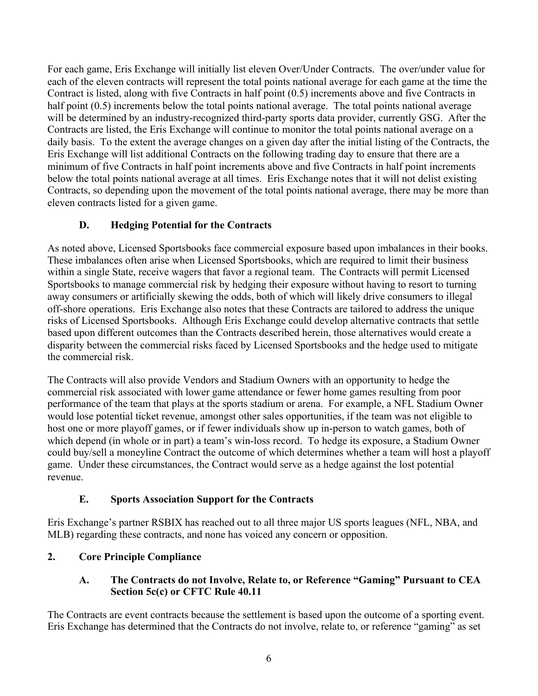For each game, Eris Exchange will initially list eleven Over/Under Contracts. The over/under value for each of the eleven contracts will represent the total points national average for each game at the time the Contract is listed, along with five Contracts in half point (0.5) increments above and five Contracts in half point (0.5) increments below the total points national average. The total points national average will be determined by an industry-recognized third-party sports data provider, currently GSG. After the Contracts are listed, the Eris Exchange will continue to monitor the total points national average on a daily basis. To the extent the average changes on a given day after the initial listing of the Contracts, the Eris Exchange will list additional Contracts on the following trading day to ensure that there are a minimum of five Contracts in half point increments above and five Contracts in half point increments below the total points national average at all times. Eris Exchange notes that it will not delist existing Contracts, so depending upon the movement of the total points national average, there may be more than eleven contracts listed for a given game.

# **D. Hedging Potential for the Contracts**

As noted above, Licensed Sportsbooks face commercial exposure based upon imbalances in their books. These imbalances often arise when Licensed Sportsbooks, which are required to limit their business within a single State, receive wagers that favor a regional team. The Contracts will permit Licensed Sportsbooks to manage commercial risk by hedging their exposure without having to resort to turning away consumers or artificially skewing the odds, both of which will likely drive consumers to illegal off-shore operations. Eris Exchange also notes that these Contracts are tailored to address the unique risks of Licensed Sportsbooks. Although Eris Exchange could develop alternative contracts that settle based upon different outcomes than the Contracts described herein, those alternatives would create a disparity between the commercial risks faced by Licensed Sportsbooks and the hedge used to mitigate the commercial risk.

The Contracts will also provide Vendors and Stadium Owners with an opportunity to hedge the commercial risk associated with lower game attendance or fewer home games resulting from poor performance of the team that plays at the sports stadium or arena. For example, a NFL Stadium Owner would lose potential ticket revenue, amongst other sales opportunities, if the team was not eligible to host one or more playoff games, or if fewer individuals show up in-person to watch games, both of which depend (in whole or in part) a team's win-loss record. To hedge its exposure, a Stadium Owner could buy/sell a moneyline Contract the outcome of which determines whether a team will host a playoff game. Under these circumstances, the Contract would serve as a hedge against the lost potential revenue.

# **E. Sports Association Support for the Contracts**

Eris Exchange's partner RSBIX has reached out to all three major US sports leagues (NFL, NBA, and MLB) regarding these contracts, and none has voiced any concern or opposition.

# **2. Core Principle Compliance**

#### **A. The Contracts do not Involve, Relate to, or Reference "Gaming" Pursuant to CEA Section 5c(c) or CFTC Rule 40.11**

The Contracts are event contracts because the settlement is based upon the outcome of a sporting event. Eris Exchange has determined that the Contracts do not involve, relate to, or reference "gaming" as set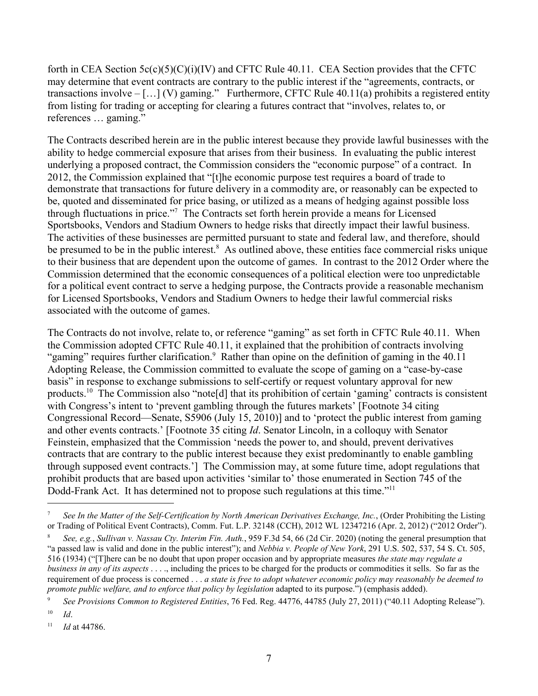forth in CEA Section  $5c(c)(5)(C)(i)(IV)$  and CFTC Rule 40.11. CEA Section provides that the CFTC may determine that event contracts are contrary to the public interest if the "agreements, contracts, or transactions involve  $-[...]$  (V) gaming." Furthermore, CFTC Rule 40.11(a) prohibits a registered entity from listing for trading or accepting for clearing a futures contract that "involves, relates to, or references … gaming."

The Contracts described herein are in the public interest because they provide lawful businesses with the ability to hedge commercial exposure that arises from their business. In evaluating the public interest underlying a proposed contract, the Commission considers the "economic purpose" of a contract. In 2012, the Commission explained that "[t]he economic purpose test requires a board of trade to demonstrate that transactions for future delivery in a commodity are, or reasonably can be expected to be, quoted and disseminated for price basing, or utilized as a means of hedging against possible loss through fluctuations in price."<sup>7</sup> The Contracts set forth herein provide a means for Licensed Sportsbooks, Vendors and Stadium Owners to hedge risks that directly impact their lawful business. The activities of these businesses are permitted pursuant to state and federal law, and therefore, should be presumed to be in the public interest.<sup>8</sup> As outlined above, these entities face commercial risks unique to their business that are dependent upon the outcome of games. In contrast to the 2012 Order where the Commission determined that the economic consequences of a political election were too unpredictable for a political event contract to serve a hedging purpose, the Contracts provide a reasonable mechanism for Licensed Sportsbooks, Vendors and Stadium Owners to hedge their lawful commercial risks associated with the outcome of games.

The Contracts do not involve, relate to, or reference "gaming" as set forth in CFTC Rule 40.11. When the Commission adopted CFTC Rule 40.11, it explained that the prohibition of contracts involving "gaming" requires further clarification.<sup>9</sup> Rather than opine on the definition of gaming in the 40.11 Adopting Release, the Commission committed to evaluate the scope of gaming on a "case-by-case basis" in response to exchange submissions to self-certify or request voluntary approval for new products.<sup>10</sup> The Commission also "note[d] that its prohibition of certain 'gaming' contracts is consistent with Congress's intent to 'prevent gambling through the futures markets' [Footnote 34 citing Congressional Record—Senate, S5906 (July 15, 2010)] and to 'protect the public interest from gaming and other events contracts.' [Footnote 35 citing *Id*. Senator Lincoln, in a colloquy with Senator Feinstein, emphasized that the Commission 'needs the power to, and should, prevent derivatives contracts that are contrary to the public interest because they exist predominantly to enable gambling through supposed event contracts.'] The Commission may, at some future time, adopt regulations that prohibit products that are based upon activities 'similar to' those enumerated in Section 745 of the Dodd-Frank Act. It has determined not to propose such regulations at this time."<sup>11</sup>

<sup>7</sup> *See In the Matter of the Self-Certification by North American Derivatives Exchange, Inc.*, (Order Prohibiting the Listing or Trading of Political Event Contracts), Comm. Fut. L.P. 32148 (CCH), 2012 WL 12347216 (Apr. 2, 2012) ("2012 Order").

<sup>8</sup> *See, e.g.*, *Sullivan v. Nassau Cty. Interim Fin. Auth.*, 959 F.3d 54, 66 (2d Cir. 2020) (noting the general presumption that "a passed law is valid and done in the public interest"); and *Nebbia v. People of New York*, 291 U.S. 502, 537, 54 S. Ct. 505, 516 (1934) ("[T]here can be no doubt that upon proper occasion and by appropriate measures *the state may regulate a business in any of its aspects* . . . ., including the prices to be charged for the products or commodities it sells. So far as the requirement of due process is concerned . . . *a state is free to adopt whatever economic policy may reasonably be deemed to promote public welfare, and to enforce that policy by legislation* adapted to its purpose.") (emphasis added).

<sup>9</sup> *See Provisions Common to Registered Entities*, 76 Fed. Reg. 44776, 44785 (July 27, 2011) ("40.11 Adopting Release").  $10$  *Id.* 

<sup>11</sup> *Id* at 44786.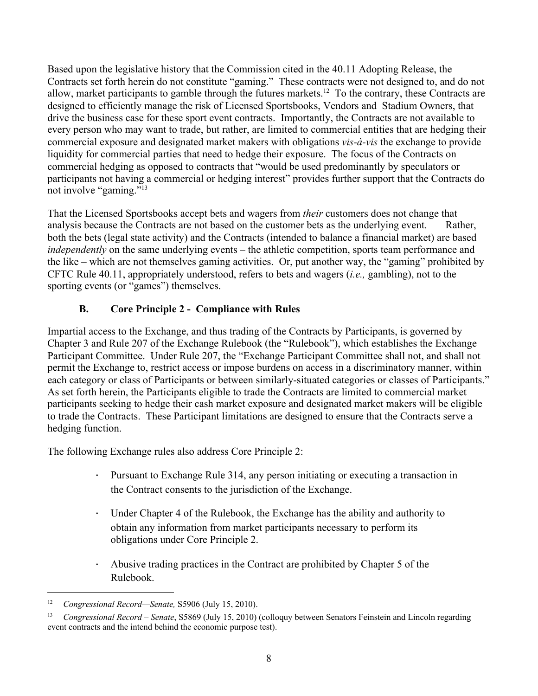Based upon the legislative history that the Commission cited in the 40.11 Adopting Release, the Contracts set forth herein do not constitute "gaming." These contracts were not designed to, and do not allow, market participants to gamble through the futures markets.<sup>12</sup> To the contrary, these Contracts are designed to efficiently manage the risk of Licensed Sportsbooks, Vendors and Stadium Owners, that drive the business case for these sport event contracts. Importantly, the Contracts are not available to every person who may want to trade, but rather, are limited to commercial entities that are hedging their commercial exposure and designated market makers with obligations *vis-à-vis* the exchange to provide liquidity for commercial parties that need to hedge their exposure. The focus of the Contracts on commercial hedging as opposed to contracts that "would be used predominantly by speculators or participants not having a commercial or hedging interest" provides further support that the Contracts do not involve "gaming."<sup>13</sup>

That the Licensed Sportsbooks accept bets and wagers from *their* customers does not change that analysis because the Contracts are not based on the customer bets as the underlying event. Rather, both the bets (legal state activity) and the Contracts (intended to balance a financial market) are based *independently* on the same underlying events – the athletic competition, sports team performance and the like – which are not themselves gaming activities. Or, put another way, the "gaming" prohibited by CFTC Rule 40.11, appropriately understood, refers to bets and wagers (*i.e.,* gambling), not to the sporting events (or "games") themselves.

### **B. Core Principle 2 - Compliance with Rules**

Impartial access to the Exchange, and thus trading of the Contracts by Participants, is governed by Chapter 3 and Rule 207 of the Exchange Rulebook (the "Rulebook"), which establishes the Exchange Participant Committee. Under Rule 207, the "Exchange Participant Committee shall not, and shall not permit the Exchange to, restrict access or impose burdens on access in a discriminatory manner, within each category or class of Participants or between similarly-situated categories or classes of Participants." As set forth herein, the Participants eligible to trade the Contracts are limited to commercial market participants seeking to hedge their cash market exposure and designated market makers will be eligible to trade the Contracts. These Participant limitations are designed to ensure that the Contracts serve a hedging function.

The following Exchange rules also address Core Principle 2:

- Pursuant to Exchange Rule 314, any person initiating or executing a transaction in the Contract consents to the jurisdiction of the Exchange.
- Under Chapter 4 of the Rulebook, the Exchange has the ability and authority to obtain any information from market participants necessary to perform its obligations under Core Principle 2.
- Abusive trading practices in the Contract are prohibited by Chapter 5 of the Rulebook.

<sup>12</sup> *Congressional Record—Senate,* S5906 (July 15, 2010).

<sup>13</sup> *Congressional Record – Senate*, S5869 (July 15, 2010) (colloquy between Senators Feinstein and Lincoln regarding event contracts and the intend behind the economic purpose test).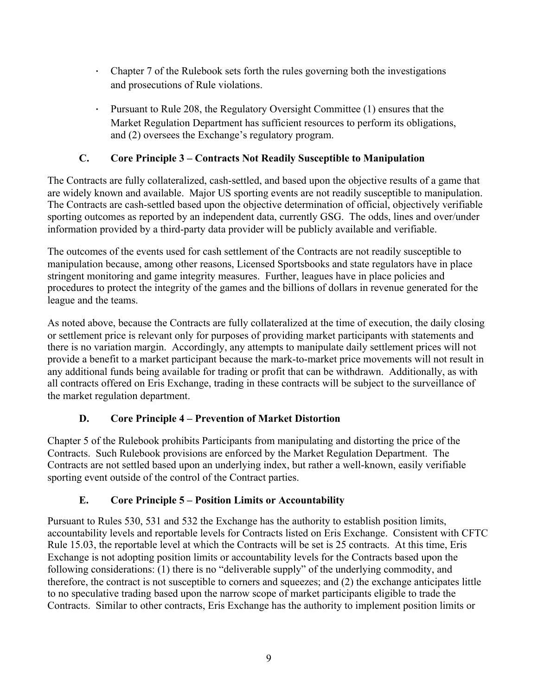- Chapter 7 of the Rulebook sets forth the rules governing both the investigations and prosecutions of Rule violations.
- Pursuant to Rule 208, the Regulatory Oversight Committee (1) ensures that the Market Regulation Department has sufficient resources to perform its obligations, and (2) oversees the Exchange's regulatory program.

### **C. Core Principle 3 – Contracts Not Readily Susceptible to Manipulation**

The Contracts are fully collateralized, cash-settled, and based upon the objective results of a game that are widely known and available. Major US sporting events are not readily susceptible to manipulation. The Contracts are cash-settled based upon the objective determination of official, objectively verifiable sporting outcomes as reported by an independent data, currently GSG. The odds, lines and over/under information provided by a third-party data provider will be publicly available and verifiable.

The outcomes of the events used for cash settlement of the Contracts are not readily susceptible to manipulation because, among other reasons, Licensed Sportsbooks and state regulators have in place stringent monitoring and game integrity measures. Further, leagues have in place policies and procedures to protect the integrity of the games and the billions of dollars in revenue generated for the league and the teams.

As noted above, because the Contracts are fully collateralized at the time of execution, the daily closing or settlement price is relevant only for purposes of providing market participants with statements and there is no variation margin. Accordingly, any attempts to manipulate daily settlement prices will not provide a benefit to a market participant because the mark-to-market price movements will not result in any additional funds being available for trading or profit that can be withdrawn. Additionally, as with all contracts offered on Eris Exchange, trading in these contracts will be subject to the surveillance of the market regulation department.

# **D. Core Principle 4 – Prevention of Market Distortion**

Chapter 5 of the Rulebook prohibits Participants from manipulating and distorting the price of the Contracts. Such Rulebook provisions are enforced by the Market Regulation Department. The Contracts are not settled based upon an underlying index, but rather a well-known, easily verifiable sporting event outside of the control of the Contract parties.

# **E. Core Principle 5 – Position Limits or Accountability**

Pursuant to Rules 530, 531 and 532 the Exchange has the authority to establish position limits, accountability levels and reportable levels for Contracts listed on Eris Exchange. Consistent with CFTC Rule 15.03, the reportable level at which the Contracts will be set is 25 contracts. At this time, Eris Exchange is not adopting position limits or accountability levels for the Contracts based upon the following considerations: (1) there is no "deliverable supply" of the underlying commodity, and therefore, the contract is not susceptible to corners and squeezes; and (2) the exchange anticipates little to no speculative trading based upon the narrow scope of market participants eligible to trade the Contracts. Similar to other contracts, Eris Exchange has the authority to implement position limits or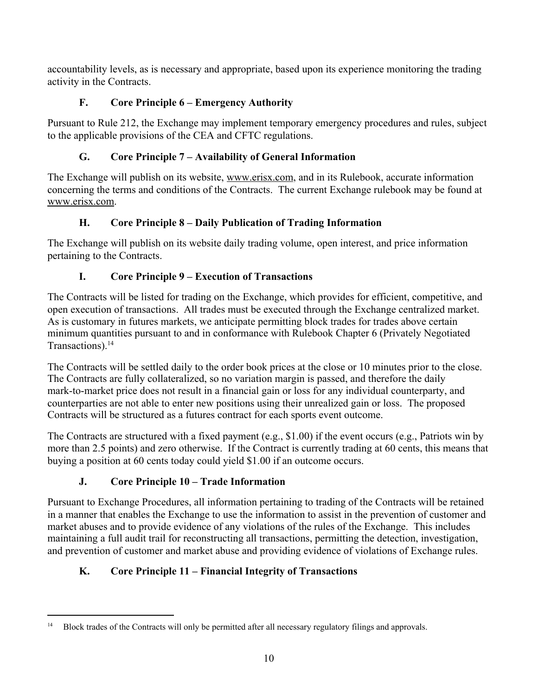accountability levels, as is necessary and appropriate, based upon its experience monitoring the trading activity in the Contracts.

# **F. Core Principle 6 – Emergency Authority**

Pursuant to Rule 212, the Exchange may implement temporary emergency procedures and rules, subject to the applicable provisions of the CEA and CFTC regulations.

# **G. Core Principle 7 – Availability of General Information**

The Exchange will publish on its website, www.erisx.com, and in its Rulebook, accurate information concerning the terms and conditions of the Contracts. The current Exchange rulebook may be found at www.erisx.com.

# **H. Core Principle 8 – Daily Publication of Trading Information**

The Exchange will publish on its website daily trading volume, open interest, and price information pertaining to the Contracts.

# **I. Core Principle 9 – Execution of Transactions**

The Contracts will be listed for trading on the Exchange, which provides for efficient, competitive, and open execution of transactions. All trades must be executed through the Exchange centralized market. As is customary in futures markets, we anticipate permitting block trades for trades above certain minimum quantities pursuant to and in conformance with Rulebook Chapter 6 (Privately Negotiated Transactions).<sup>14</sup>

The Contracts will be settled daily to the order book prices at the close or 10 minutes prior to the close. The Contracts are fully collateralized, so no variation margin is passed, and therefore the daily mark-to-market price does not result in a financial gain or loss for any individual counterparty, and counterparties are not able to enter new positions using their unrealized gain or loss. The proposed Contracts will be structured as a futures contract for each sports event outcome.

The Contracts are structured with a fixed payment (e.g., \$1.00) if the event occurs (e.g., Patriots win by more than 2.5 points) and zero otherwise. If the Contract is currently trading at 60 cents, this means that buying a position at 60 cents today could yield \$1.00 if an outcome occurs.

# **J. Core Principle 10 – Trade Information**

Pursuant to Exchange Procedures, all information pertaining to trading of the Contracts will be retained in a manner that enables the Exchange to use the information to assist in the prevention of customer and market abuses and to provide evidence of any violations of the rules of the Exchange. This includes maintaining a full audit trail for reconstructing all transactions, permitting the detection, investigation, and prevention of customer and market abuse and providing evidence of violations of Exchange rules.

# **K. Core Principle 11 – Financial Integrity of Transactions**

<sup>&</sup>lt;sup>14</sup> Block trades of the Contracts will only be permitted after all necessary regulatory filings and approvals.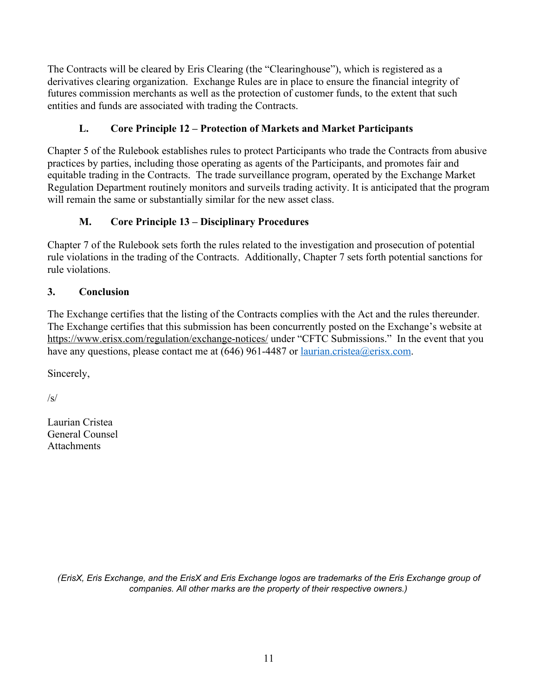The Contracts will be cleared by Eris Clearing (the "Clearinghouse"), which is registered as a derivatives clearing organization. Exchange Rules are in place to ensure the financial integrity of futures commission merchants as well as the protection of customer funds, to the extent that such entities and funds are associated with trading the Contracts.

# **L. Core Principle 12 – Protection of Markets and Market Participants**

Chapter 5 of the Rulebook establishes rules to protect Participants who trade the Contracts from abusive practices by parties, including those operating as agents of the Participants, and promotes fair and equitable trading in the Contracts. The trade surveillance program, operated by the Exchange Market Regulation Department routinely monitors and surveils trading activity. It is anticipated that the program will remain the same or substantially similar for the new asset class.

# **M. Core Principle 13 – Disciplinary Procedures**

Chapter 7 of the Rulebook sets forth the rules related to the investigation and prosecution of potential rule violations in the trading of the Contracts. Additionally, Chapter 7 sets forth potential sanctions for rule violations.

### **3. Conclusion**

The Exchange certifies that the listing of the Contracts complies with the Act and the rules thereunder. The Exchange certifies that this submission has been concurrently posted on the Exchange's website at https://www.erisx.com/regulation/exchange-notices/ under "CFTC Submissions." In the event that you have any questions, please contact me at (646) 961-4487 or [laurian.cristea@erisx.com.](mailto:laurian.cristea@erisx.com)

Sincerely,

 $\sqrt{s}$ 

Laurian Cristea General Counsel **Attachments** 

> (ErisX, Eris Exchange, and the ErisX and Eris Exchange logos are trademarks of the Eris Exchange group of *companies. All other marks are the property of their respective owners.)*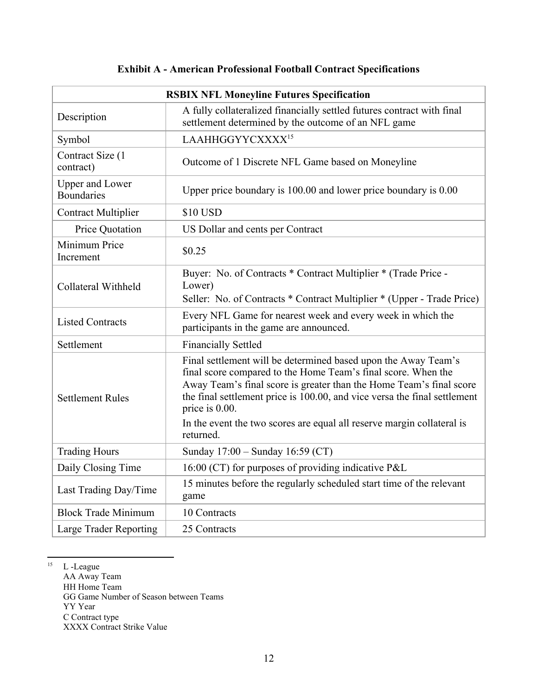# **RSBIX NFL Moneyline Futures Specification** Description A fully collateralized financially settled futures contract with final settlement determined by the outcome of an NFL game Symbol LAAHHGGYYCXXXX<sup>15</sup> Contract Size (1 Contract) Outcome of 1 Discrete NFL Game based on Moneyline Upper and Lower Boundaries Upper price boundary is 100.00 and lower price boundary is 0.00 Contract Multiplier | \$10 USD Price Quotation US Dollar and cents per Contract Minimum Price Increment 50.25 Collateral Withheld Buyer: No. of Contracts \* Contract Multiplier \* (Trade Price - Lower) Seller: No. of Contracts \* Contract Multiplier \* (Upper - Trade Price) Listed Contracts Every NFL Game for nearest week and every week in which the participants in the game are announced. Settlement Financially Settled Settlement Rules Final settlement will be determined based upon the Away Team's final score compared to the Home Team's final score. When the Away Team's final score is greater than the Home Team's final score the final settlement price is 100.00, and vice versa the final settlement price is 0.00. In the event the two scores are equal all reserve margin collateral is returned. Trading Hours Sunday  $17:00 -$  Sunday  $16:59$  (CT) Daily Closing Time 16:00 (CT) for purposes of providing indicative P&L Last Trading Day/Time  $\begin{vmatrix} 15 \text{ minutes} & 15 \end{vmatrix}$  scheduled start time of the relevant game Block Trade Minimum 10 Contracts Large Trader Reporting 25 Contracts

#### **Exhibit A - American Professional Football Contract Specifications**

 $15$  L -League AA Away Team HH Home Team GG Game Number of Season between Teams YY Year C Contract type

XXXX Contract Strike Value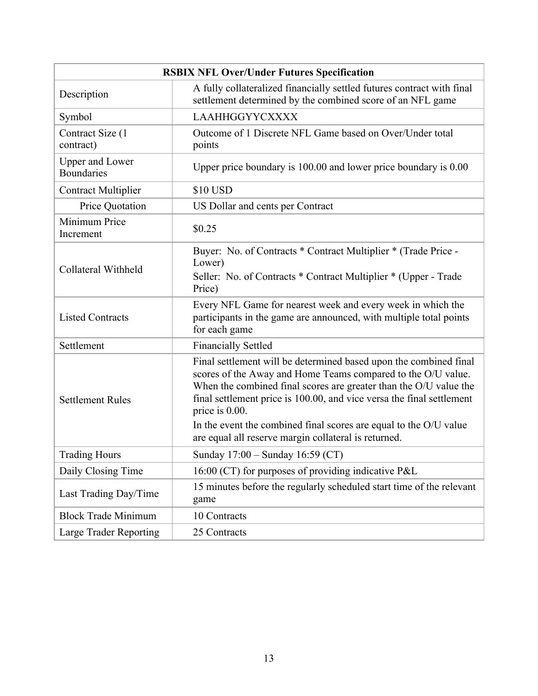| <b>RSBIX NFL Over/Under Futures Specification</b> |                                                                                                                                                                                                                                                                                                                                                                                                                                |
|---------------------------------------------------|--------------------------------------------------------------------------------------------------------------------------------------------------------------------------------------------------------------------------------------------------------------------------------------------------------------------------------------------------------------------------------------------------------------------------------|
| Description                                       | A fully collateralized financially settled futures contract with final<br>settlement determined by the combined score of an NFL game                                                                                                                                                                                                                                                                                           |
| Symbol                                            | <b>LAAHHGGYYCXXXX</b>                                                                                                                                                                                                                                                                                                                                                                                                          |
| Contract Size (1<br>contract)                     | Outcome of 1 Discrete NFL Game based on Over/Under total<br>points                                                                                                                                                                                                                                                                                                                                                             |
| <b>Upper and Lower</b><br><b>Boundaries</b>       | Upper price boundary is 100.00 and lower price boundary is 0.00                                                                                                                                                                                                                                                                                                                                                                |
| <b>Contract Multiplier</b>                        | \$10 USD                                                                                                                                                                                                                                                                                                                                                                                                                       |
| Price Quotation                                   | US Dollar and cents per Contract                                                                                                                                                                                                                                                                                                                                                                                               |
| Minimum Price<br>Increment                        | \$0.25                                                                                                                                                                                                                                                                                                                                                                                                                         |
| Collateral Withheld                               | Buyer: No. of Contracts * Contract Multiplier * (Trade Price -<br>Lower)<br>Seller: No. of Contracts * Contract Multiplier * (Upper - Trade<br>Price)                                                                                                                                                                                                                                                                          |
| <b>Listed Contracts</b>                           | Every NFL Game for nearest week and every week in which the<br>participants in the game are announced, with multiple total points<br>for each game                                                                                                                                                                                                                                                                             |
| Settlement                                        | <b>Financially Settled</b>                                                                                                                                                                                                                                                                                                                                                                                                     |
| <b>Settlement Rules</b>                           | Final settlement will be determined based upon the combined final<br>scores of the Away and Home Teams compared to the O/U value.<br>When the combined final scores are greater than the O/U value the<br>final settlement price is 100.00, and vice versa the final settlement<br>price is 0.00.<br>In the event the combined final scores are equal to the O/U value<br>are equal all reserve margin collateral is returned. |
| <b>Trading Hours</b>                              | Sunday 17:00 - Sunday 16:59 (CT)                                                                                                                                                                                                                                                                                                                                                                                               |
| Daily Closing Time                                | 16:00 (CT) for purposes of providing indicative P&L                                                                                                                                                                                                                                                                                                                                                                            |
| Last Trading Day/Time                             | 15 minutes before the regularly scheduled start time of the relevant<br>game                                                                                                                                                                                                                                                                                                                                                   |
| <b>Block Trade Minimum</b>                        | 10 Contracts                                                                                                                                                                                                                                                                                                                                                                                                                   |
| Large Trader Reporting                            | 25 Contracts                                                                                                                                                                                                                                                                                                                                                                                                                   |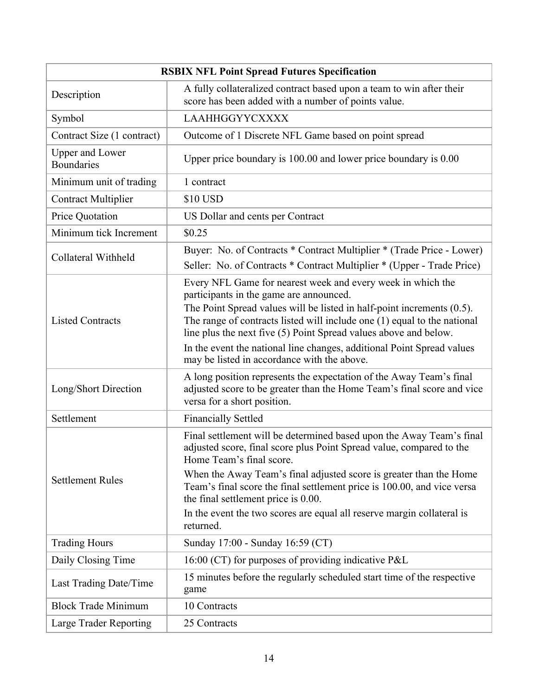| <b>RSBIX NFL Point Spread Futures Specification</b> |                                                                                                                                                                                                                                                                                                                                                                                                                                                              |  |
|-----------------------------------------------------|--------------------------------------------------------------------------------------------------------------------------------------------------------------------------------------------------------------------------------------------------------------------------------------------------------------------------------------------------------------------------------------------------------------------------------------------------------------|--|
| Description                                         | A fully collateralized contract based upon a team to win after their<br>score has been added with a number of points value.                                                                                                                                                                                                                                                                                                                                  |  |
| Symbol                                              | <b>LAAHHGGYYCXXXX</b>                                                                                                                                                                                                                                                                                                                                                                                                                                        |  |
| Contract Size (1 contract)                          | Outcome of 1 Discrete NFL Game based on point spread                                                                                                                                                                                                                                                                                                                                                                                                         |  |
| <b>Upper and Lower</b><br><b>Boundaries</b>         | Upper price boundary is 100.00 and lower price boundary is 0.00                                                                                                                                                                                                                                                                                                                                                                                              |  |
| Minimum unit of trading                             | 1 contract                                                                                                                                                                                                                                                                                                                                                                                                                                                   |  |
| <b>Contract Multiplier</b>                          | \$10 USD                                                                                                                                                                                                                                                                                                                                                                                                                                                     |  |
| Price Quotation                                     | US Dollar and cents per Contract                                                                                                                                                                                                                                                                                                                                                                                                                             |  |
| Minimum tick Increment                              | \$0.25                                                                                                                                                                                                                                                                                                                                                                                                                                                       |  |
| Collateral Withheld                                 | Buyer: No. of Contracts * Contract Multiplier * (Trade Price - Lower)<br>Seller: No. of Contracts * Contract Multiplier * (Upper - Trade Price)                                                                                                                                                                                                                                                                                                              |  |
| <b>Listed Contracts</b>                             | Every NFL Game for nearest week and every week in which the<br>participants in the game are announced.<br>The Point Spread values will be listed in half-point increments $(0.5)$ .<br>The range of contracts listed will include one (1) equal to the national<br>line plus the next five (5) Point Spread values above and below.<br>In the event the national line changes, additional Point Spread values<br>may be listed in accordance with the above. |  |
| Long/Short Direction                                | A long position represents the expectation of the Away Team's final<br>adjusted score to be greater than the Home Team's final score and vice<br>versa for a short position.                                                                                                                                                                                                                                                                                 |  |
| Settlement                                          | <b>Financially Settled</b>                                                                                                                                                                                                                                                                                                                                                                                                                                   |  |
| <b>Settlement Rules</b>                             | Final settlement will be determined based upon the Away Team's final<br>adjusted score, final score plus Point Spread value, compared to the<br>Home Team's final score.<br>When the Away Team's final adjusted score is greater than the Home<br>Team's final score the final settlement price is 100.00, and vice versa<br>the final settlement price is 0.00.                                                                                             |  |
|                                                     | In the event the two scores are equal all reserve margin collateral is<br>returned.                                                                                                                                                                                                                                                                                                                                                                          |  |
| <b>Trading Hours</b>                                | Sunday 17:00 - Sunday 16:59 (CT)                                                                                                                                                                                                                                                                                                                                                                                                                             |  |
| Daily Closing Time                                  | 16:00 (CT) for purposes of providing indicative P&L                                                                                                                                                                                                                                                                                                                                                                                                          |  |
| Last Trading Date/Time                              | 15 minutes before the regularly scheduled start time of the respective<br>game                                                                                                                                                                                                                                                                                                                                                                               |  |
| <b>Block Trade Minimum</b>                          | 10 Contracts                                                                                                                                                                                                                                                                                                                                                                                                                                                 |  |
| <b>Large Trader Reporting</b>                       | 25 Contracts                                                                                                                                                                                                                                                                                                                                                                                                                                                 |  |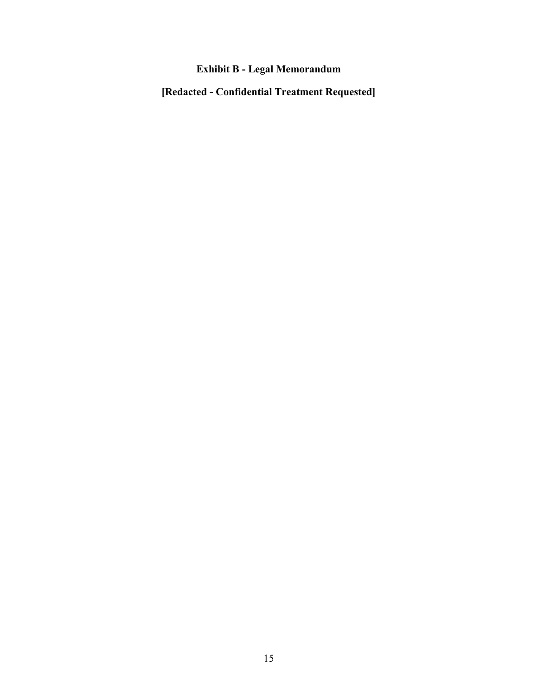### **Exhibit B - Legal Memorandum**

**[Redacted - Confidential Treatment Requested]**